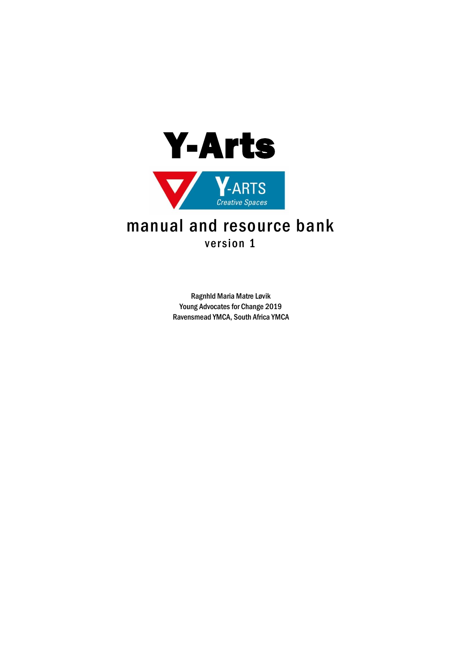

# version 1

Ragnhld Maria Matre Løvik Young Advocates for Change 2019 Ravensmead YMCA, South Africa YMCA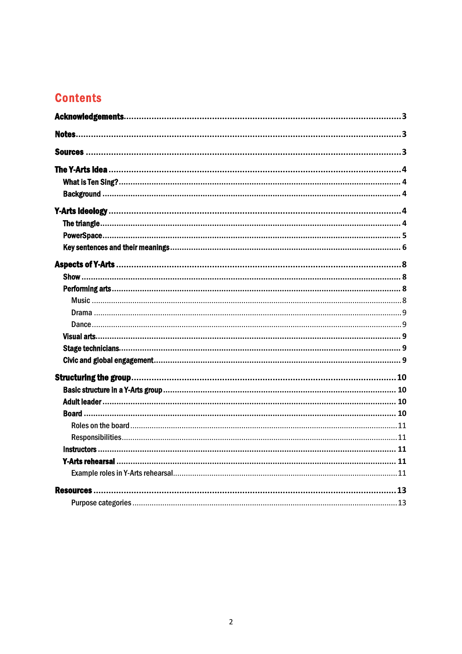# **Contents**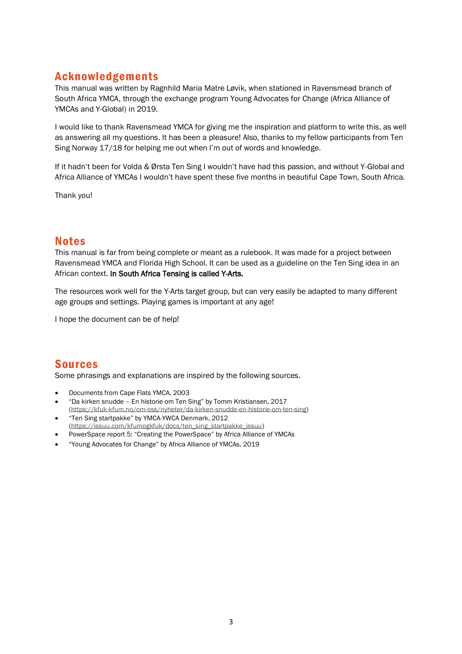# <span id="page-2-0"></span>Acknowledgements

This manual was written by Ragnhild Maria Matre Løvik, when stationed in Ravensmead branch of South Africa YMCA, through the exchange program Young Advocates for Change (Africa Alliance of YMCAs and Y-Global) in 2019.

I would like to thank Ravensmead YMCA for giving me the inspiration and platform to write this, as well as answering all my questions. It has been a pleasure! Also, thanks to my fellow participants from Ten Sing Norway 17/18 for helping me out when I'm out of words and knowledge.

If it hadn't been for Volda & Ørsta Ten Sing I wouldn't have had this passion, and without Y-Global and Africa Alliance of YMCAs I wouldn't have spent these five months in beautiful Cape Town, South Africa.

Thank you!

## <span id="page-2-1"></span>Notes

This manual is far from being complete or meant as a rulebook. It was made for a project between Ravensmead YMCA and Florida High School. It can be used as a guideline on the Ten Sing idea in an African context. In South Africa Tensing is called Y-Arts.

The resources work well for the Y-Arts target group, but can very easily be adapted to many different age groups and settings. Playing games is important at any age!

I hope the document can be of help!

# <span id="page-2-2"></span>Sources

Some phrasings and explanations are inspired by the following sources.

- Documents from Cape Flats YMCA, 2003
- "Da kirken snudde En historie om Ten Sing" by Tomm Kristiansen, 2017 [\(https://kfuk-kfum.no/om-oss/nyheter/da-kirken-snudde-en-historie-om-ten-sing\)](https://kfuk-kfum.no/om-oss/nyheter/da-kirken-snudde-en-historie-om-ten-sing))
- "Ten Sing startpakke" by YMCA-YWCA Denmark, 2012 [\(https://issuu.com/kfumogkfuk/docs/ten\\_sing\\_startpakke\\_issuu\)](https://issuu.com/kfumogkfuk/docs/ten_sing_startpakke_issuu))
- PowerSpace report 5: "Creating the PowerSpace" by Africa Alliance of YMCAs
- "Young Advocates for Change" by Africa Alliance of YMCAs, 2019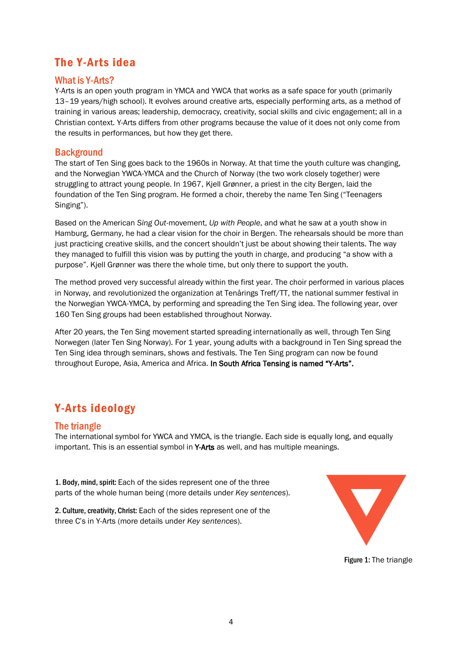# <span id="page-3-0"></span>The Y-Arts idea

#### <span id="page-3-1"></span>What is Y-Arts?

Y-Arts is an open youth program in YMCA and YWCA that works as a safe space for youth (primarily 13–19 years/high school). It evolves around creative arts, especially performing arts, as a method of training in various areas; leadership, democracy, creativity, social skills and civic engagement; all in a Christian context. Y-Arts differs from other programs because the value of it does not only come from the results in performances, but how they get there.

## <span id="page-3-2"></span>**Background**

The start of Ten Sing goes back to the 1960s in Norway. At that time the youth culture was changing, and the Norwegian YWCA-YMCA and the Church of Norway (the two work closely together) were struggling to attract young people. In 1967, Kjell Grønner, a priest in the city Bergen, laid the foundation of the Ten Sing program. He formed a choir, thereby the name Ten Sing ("Teenagers Singing").

Based on the American *Sing Out*-movement, *Up with People*, and what he saw at a youth show in Hamburg, Germany, he had a clear vision for the choir in Bergen. The rehearsals should be more than just practicing creative skills, and the concert shouldn't just be about showing their talents. The way they managed to fulfill this vision was by putting the youth in charge, and producing "a show with a purpose". Kjell Grønner was there the whole time, but only there to support the youth.

The method proved very successful already within the first year. The choir performed in various places in Norway, and revolutionized the organization at Tenårings Treff/TT, the national summer festival in the Norwegian YWCA-YMCA, by performing and spreading the Ten Sing idea. The following year, over 160 Ten Sing groups had been established throughout Norway.

After 20 years, the Ten Sing movement started spreading internationally as well, through Ten Sing Norwegen (later Ten Sing Norway). For 1 year, young adults with a background in Ten Sing spread the Ten Sing idea through seminars, shows and festivals. The Ten Sing program can now be found throughout Europe, Asia, America and Africa. In South Africa Tensing is named "Y-Arts".

# <span id="page-3-3"></span>Y-Arts ideology

## <span id="page-3-4"></span>The triangle

The international symbol for YWCA and YMCA, is the triangle. Each side is equally long, and equally important. This is an essential symbol in Y-Arts as well, and has multiple meanings.

1. Body, mind, spirit: Each of the sides represent one of the three parts of the whole human being (more details under *Key sentences*).

2. Culture, creativity, Christ: Each of the sides represent one of the three C's in Y-Arts (more details under *Key sentences*).



Figure 1: The triangle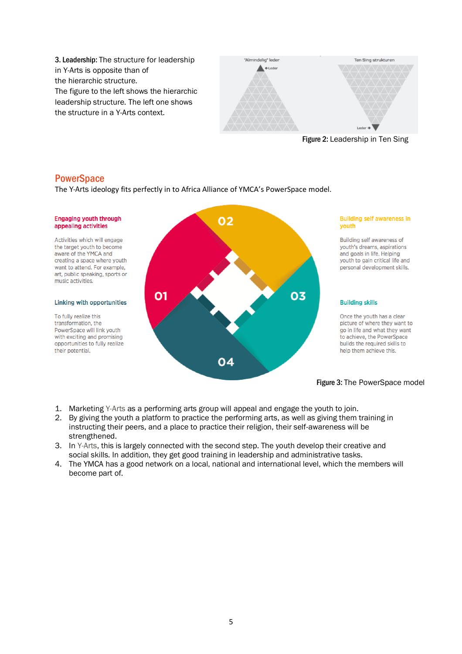3. Leadership: The structure for leadership in Y-Arts is opposite than of the hierarchic structure. The figure to the left shows the hierarchic leadership structure. The left one shows the structure in a Y-Arts context.





#### <span id="page-4-0"></span>**PowerSpace**

The Y-Arts ideology fits perfectly in to Africa Alliance of YMCA's PowerSpace model.



- 1. Marketing Y-Arts as a performing arts group will appeal and engage the youth to join.
- 2. By giving the youth a platform to practice the performing arts, as well as giving them training in instructing their peers, and a place to practice their religion, their self-awareness will be strengthened.
- 3. In Y-Arts, this is largely connected with the second step. The youth develop their creative and social skills. In addition, they get good training in leadership and administrative tasks.
- 4. The YMCA has a good network on a local, national and international level, which the members will become part of.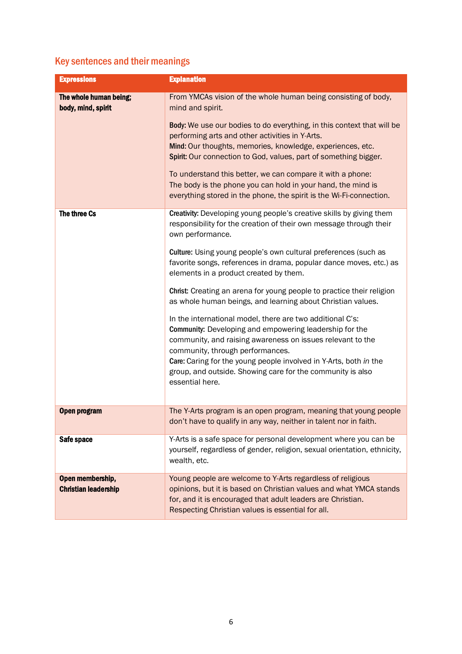# <span id="page-5-0"></span>Key sentences and their meanings

| <b>Expressions</b>                              | <b>Explanation</b>                                                                                                                                                                                                                                                                                                                                                           |
|-------------------------------------------------|------------------------------------------------------------------------------------------------------------------------------------------------------------------------------------------------------------------------------------------------------------------------------------------------------------------------------------------------------------------------------|
| The whole human being;<br>body, mind, spirit    | From YMCAs vision of the whole human being consisting of body,<br>mind and spirit.                                                                                                                                                                                                                                                                                           |
|                                                 | Body: We use our bodies to do everything, in this context that will be<br>performing arts and other activities in Y-Arts.<br>Mind: Our thoughts, memories, knowledge, experiences, etc.                                                                                                                                                                                      |
|                                                 | Spirit: Our connection to God, values, part of something bigger.                                                                                                                                                                                                                                                                                                             |
|                                                 | To understand this better, we can compare it with a phone:<br>The body is the phone you can hold in your hand, the mind is<br>everything stored in the phone, the spirit is the Wi-Fi-connection.                                                                                                                                                                            |
| The three Cs                                    | Creativity: Developing young people's creative skills by giving them<br>responsibility for the creation of their own message through their<br>own performance.                                                                                                                                                                                                               |
|                                                 | Culture: Using young people's own cultural preferences (such as<br>favorite songs, references in drama, popular dance moves, etc.) as<br>elements in a product created by them.                                                                                                                                                                                              |
|                                                 | Christ: Creating an arena for young people to practice their religion<br>as whole human beings, and learning about Christian values.                                                                                                                                                                                                                                         |
|                                                 | In the international model, there are two additional C's:<br>Community: Developing and empowering leadership for the<br>community, and raising awareness on issues relevant to the<br>community, through performances.<br>Care: Caring for the young people involved in Y-Arts, both in the<br>group, and outside. Showing care for the community is also<br>essential here. |
| Open program                                    | The Y-Arts program is an open program, meaning that young people<br>don't have to qualify in any way, neither in talent nor in faith.                                                                                                                                                                                                                                        |
| Safe space                                      | Y-Arts is a safe space for personal development where you can be<br>yourself, regardless of gender, religion, sexual orientation, ethnicity,<br>wealth, etc.                                                                                                                                                                                                                 |
| Open membership,<br><b>Christian leadership</b> | Young people are welcome to Y-Arts regardless of religious<br>opinions, but it is based on Christian values and what YMCA stands<br>for, and it is encouraged that adult leaders are Christian.<br>Respecting Christian values is essential for all.                                                                                                                         |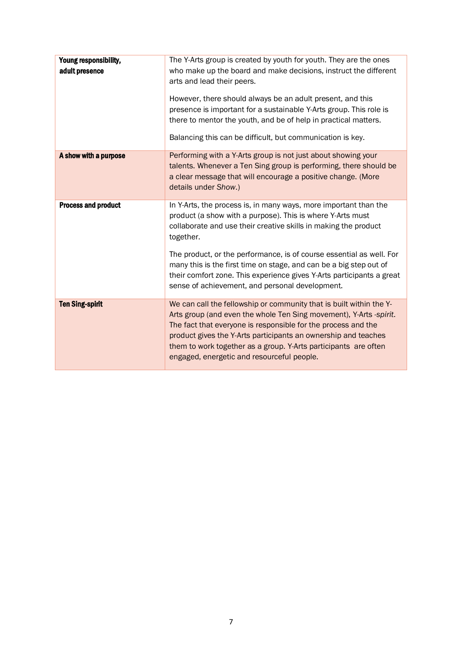| Young responsibility,<br>adult presence | The Y-Arts group is created by youth for youth. They are the ones<br>who make up the board and make decisions, instruct the different<br>arts and lead their peers.<br>However, there should always be an adult present, and this<br>presence is important for a sustainable Y-Arts group. This role is<br>there to mentor the youth, and be of help in practical matters.<br>Balancing this can be difficult, but communication is key. |
|-----------------------------------------|------------------------------------------------------------------------------------------------------------------------------------------------------------------------------------------------------------------------------------------------------------------------------------------------------------------------------------------------------------------------------------------------------------------------------------------|
| A show with a purpose                   | Performing with a Y-Arts group is not just about showing your<br>talents. Whenever a Ten Sing group is performing, there should be<br>a clear message that will encourage a positive change. (More<br>details under Show.)                                                                                                                                                                                                               |
| <b>Process and product</b>              | In Y-Arts, the process is, in many ways, more important than the<br>product (a show with a purpose). This is where Y-Arts must<br>collaborate and use their creative skills in making the product<br>together.                                                                                                                                                                                                                           |
|                                         | The product, or the performance, is of course essential as well. For<br>many this is the first time on stage, and can be a big step out of<br>their comfort zone. This experience gives Y-Arts participants a great<br>sense of achievement, and personal development.                                                                                                                                                                   |
| <b>Ten Sing-spirit</b>                  | We can call the fellowship or community that is built within the Y-<br>Arts group (and even the whole Ten Sing movement), Y-Arts -spirit.<br>The fact that everyone is responsible for the process and the<br>product gives the Y-Arts participants an ownership and teaches<br>them to work together as a group. Y-Arts participants are often<br>engaged, energetic and resourceful people.                                            |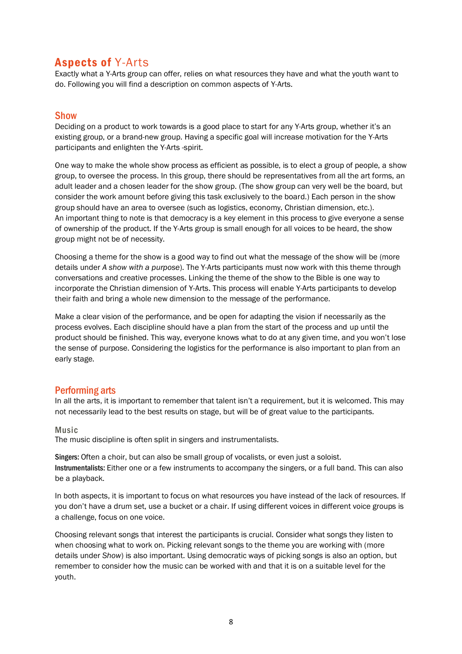# <span id="page-7-0"></span>Aspects of Y-Arts

Exactly what a Y-Arts group can offer, relies on what resources they have and what the youth want to do. Following you will find a description on common aspects of Y-Arts.

## <span id="page-7-1"></span>**Show**

Deciding on a product to work towards is a good place to start for any Y-Arts group, whether it's an existing group, or a brand-new group. Having a specific goal will increase motivation for the Y-Arts participants and enlighten the Y-Arts -spirit.

One way to make the whole show process as efficient as possible, is to elect a group of people, a show group, to oversee the process. In this group, there should be representatives from all the art forms, an adult leader and a chosen leader for the show group. (The show group can very well be the board, but consider the work amount before giving this task exclusively to the board.) Each person in the show group should have an area to oversee (such as logistics, economy, Christian dimension, etc.). An important thing to note is that democracy is a key element in this process to give everyone a sense of ownership of the product. If the Y-Arts group is small enough for all voices to be heard, the show group might not be of necessity.

Choosing a theme for the show is a good way to find out what the message of the show will be (more details under *A show with a purpose*). The Y-Arts participants must now work with this theme through conversations and creative processes. Linking the theme of the show to the Bible is one way to incorporate the Christian dimension of Y-Arts. This process will enable Y-Arts participants to develop their faith and bring a whole new dimension to the message of the performance.

Make a clear vision of the performance, and be open for adapting the vision if necessarily as the process evolves. Each discipline should have a plan from the start of the process and up until the product should be finished. This way, everyone knows what to do at any given time, and you won't lose the sense of purpose. Considering the logistics for the performance is also important to plan from an early stage.

## <span id="page-7-2"></span>Performing arts

In all the arts, it is important to remember that talent isn't a requirement, but it is welcomed. This may not necessarily lead to the best results on stage, but will be of great value to the participants.

#### <span id="page-7-3"></span>Music

The music discipline is often split in singers and instrumentalists.

Singers: Often a choir, but can also be small group of vocalists, or even just a soloist. Instrumentalists: Either one or a few instruments to accompany the singers, or a full band. This can also be a playback.

In both aspects, it is important to focus on what resources you have instead of the lack of resources. If you don't have a drum set, use a bucket or a chair. If using different voices in different voice groups is a challenge, focus on one voice.

Choosing relevant songs that interest the participants is crucial. Consider what songs they listen to when choosing what to work on. Picking relevant songs to the theme you are working with (more details under *Show*) is also important. Using democratic ways of picking songs is also an option, but remember to consider how the music can be worked with and that it is on a suitable level for the youth.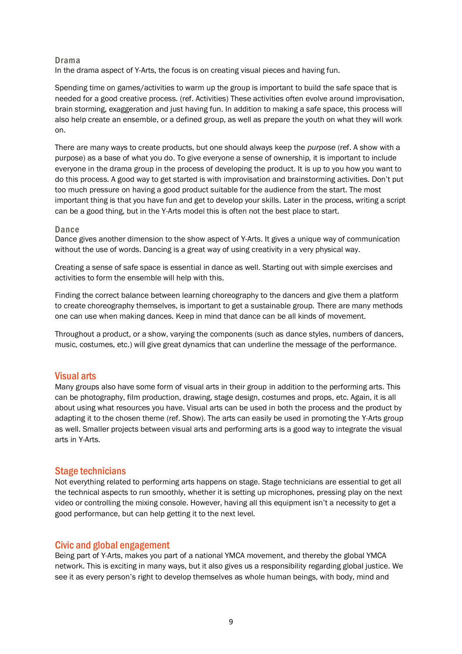#### <span id="page-8-0"></span>Drama

In the drama aspect of Y-Arts, the focus is on creating visual pieces and having fun.

Spending time on games/activities to warm up the group is important to build the safe space that is needed for a good creative process. (ref. Activities) These activities often evolve around improvisation, brain storming, exaggeration and just having fun. In addition to making a safe space, this process will also help create an ensemble, or a defined group, as well as prepare the youth on what they will work on.

There are many ways to create products, but one should always keep the *purpose* (ref. A show with a purpose) as a base of what you do. To give everyone a sense of ownership, it is important to include everyone in the drama group in the process of developing the product. It is up to you how you want to do this process. A good way to get started is with improvisation and brainstorming activities. Don't put too much pressure on having a good product suitable for the audience from the start. The most important thing is that you have fun and get to develop your skills. Later in the process, writing a script can be a good thing, but in the Y-Arts model this is often not the best place to start.

#### <span id="page-8-1"></span>Dance

Dance gives another dimension to the show aspect of Y-Arts. It gives a unique way of communication without the use of words. Dancing is a great way of using creativity in a very physical way.

Creating a sense of safe space is essential in dance as well. Starting out with simple exercises and activities to form the ensemble will help with this.

Finding the correct balance between learning choreography to the dancers and give them a platform to create choreography themselves, is important to get a sustainable group. There are many methods one can use when making dances. Keep in mind that dance can be all kinds of movement.

Throughout a product, or a show, varying the components (such as dance styles, numbers of dancers, music, costumes, etc.) will give great dynamics that can underline the message of the performance.

#### <span id="page-8-2"></span>Visual arts

Many groups also have some form of visual arts in their group in addition to the performing arts. This can be photography, film production, drawing, stage design, costumes and props, etc. Again, it is all about using what resources you have. Visual arts can be used in both the process and the product by adapting it to the chosen theme (ref. Show). The arts can easily be used in promoting the Y-Arts group as well. Smaller projects between visual arts and performing arts is a good way to integrate the visual arts in Y-Arts.

#### <span id="page-8-3"></span>Stage technicians

Not everything related to performing arts happens on stage. Stage technicians are essential to get all the technical aspects to run smoothly, whether it is setting up microphones, pressing play on the next video or controlling the mixing console. However, having all this equipment isn't a necessity to get a good performance, but can help getting it to the next level.

#### <span id="page-8-4"></span>Civic and global engagement

Being part of Y-Arts, makes you part of a national YMCA movement, and thereby the global YMCA network. This is exciting in many ways, but it also gives us a responsibility regarding global justice. We see it as every person's right to develop themselves as whole human beings, with body, mind and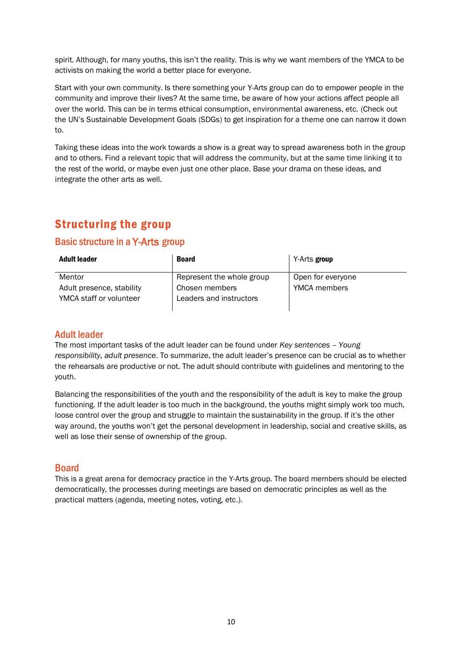spirit. Although, for many youths, this isn't the reality. This is why we want members of the YMCA to be activists on making the world a better place for everyone.

Start with your own community. Is there something your Y-Arts group can do to empower people in the community and improve their lives? At the same time, be aware of how your actions affect people all over the world. This can be in terms ethical consumption, environmental awareness, etc. (Check out the UN's Sustainable Development Goals (SDGs) to get inspiration for a theme one can narrow it down to.

Taking these ideas into the work towards a show is a great way to spread awareness both in the group and to others. Find a relevant topic that will address the community, but at the same time linking it to the rest of the world, or maybe even just one other place. Base your drama on these ideas, and integrate the other arts as well.

# <span id="page-9-0"></span>Structuring the group

## <span id="page-9-1"></span>Basic structure in a Y-Arts group

| Adult leader                                         | <b>Board</b>                              | Y-Arts group        |
|------------------------------------------------------|-------------------------------------------|---------------------|
| Mentor                                               | Represent the whole group                 | Open for everyone   |
| Adult presence, stability<br>YMCA staff or volunteer | Chosen members<br>Leaders and instructors | <b>YMCA</b> members |

## <span id="page-9-2"></span>Adult leader

The most important tasks of the adult leader can be found under *Key sentences – Young responsibility, adult presence*. To summarize, the adult leader's presence can be crucial as to whether the rehearsals are productive or not. The adult should contribute with guidelines and mentoring to the youth.

Balancing the responsibilities of the youth and the responsibility of the adult is key to make the group functioning. If the adult leader is too much in the background, the youths might simply work too much, loose control over the group and struggle to maintain the sustainability in the group. If it's the other way around, the youths won't get the personal development in leadership, social and creative skills, as well as lose their sense of ownership of the group.

## <span id="page-9-3"></span>Board

This is a great arena for democracy practice in the Y-Arts group. The board members should be elected democratically, the processes during meetings are based on democratic principles as well as the practical matters (agenda, meeting notes, voting, etc.).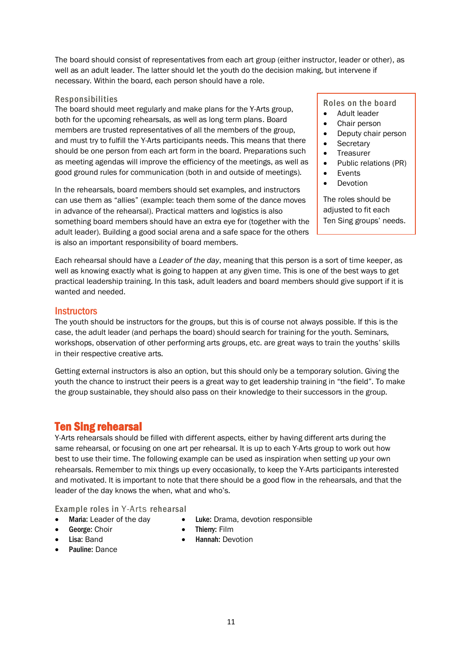The board should consist of representatives from each art group (either instructor, leader or other), as well as an adult leader. The latter should let the youth do the decision making, but intervene if necessary. Within the board, each person should have a role.

#### <span id="page-10-0"></span>Responsibilities

The board should meet regularly and make plans for the Y-Arts group, both for the upcoming rehearsals, as well as long term plans. Board members are trusted representatives of all the members of the group, and must try to fulfill the Y-Arts participants needs. This means that there should be one person from each art form in the board. Preparations such as meeting agendas will improve the efficiency of the meetings, as well as good ground rules for communication (both in and outside of meetings).

In the rehearsals, board members should set examples, and instructors can use them as "allies" (example: teach them some of the dance moves in advance of the rehearsal). Practical matters and logistics is also something board members should have an extra eye for (together with the adult leader). Building a good social arena and a safe space for the others is also an important responsibility of board members.

Roles on the board

- Adult leader
- Chair person
- Deputy chair person
- **Secretary**
- **Treasurer**
- Public relations (PR)
- Events
- Devotion

The roles should be adjusted to fit each Ten Sing groups' needs.

Each rehearsal should have a *Leader of the day*, meaning that this person is a sort of time keeper, as well as knowing exactly what is going to happen at any given time. This is one of the best ways to get practical leadership training. In this task, adult leaders and board members should give support if it is wanted and needed.

#### <span id="page-10-1"></span>**Instructors**

The youth should be instructors for the groups, but this is of course not always possible. If this is the case, the adult leader (and perhaps the board) should search for training for the youth. Seminars, workshops, observation of other performing arts groups, etc. are great ways to train the youths' skills in their respective creative arts.

Getting external instructors is also an option, but this should only be a temporary solution. Giving the youth the chance to instruct their peers is a great way to get leadership training in "the field". To make the group sustainable, they should also pass on their knowledge to their successors in the group.

## <span id="page-10-2"></span>Ten Sing rehearsal

Y-Arts rehearsals should be filled with different aspects, either by having different arts during the same rehearsal, or focusing on one art per rehearsal. It is up to each Y-Arts group to work out how best to use their time. The following example can be used as inspiration when setting up your own rehearsals. Remember to mix things up every occasionally, to keep the Y-Arts participants interested and motivated. It is important to note that there should be a good flow in the rehearsals, and that the leader of the day knows the when, what and who's.

<span id="page-10-3"></span>Example roles in Y-Arts rehearsal

- Maria: Leader of the day
- Luke: Drama, devotion responsible

- George: Choir • Lisa: Band
- Thierry: Film • Hannah: Devotion
- Pauline: Dance

11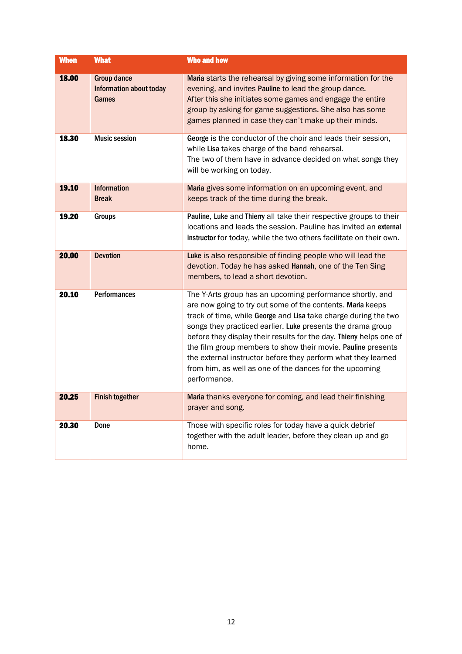| <b>When</b> | <b>What</b>                                                   | <b>Who and how</b>                                                                                                                                                                                                                                                                                                                                                                                                                                                                                                                           |
|-------------|---------------------------------------------------------------|----------------------------------------------------------------------------------------------------------------------------------------------------------------------------------------------------------------------------------------------------------------------------------------------------------------------------------------------------------------------------------------------------------------------------------------------------------------------------------------------------------------------------------------------|
| 18.00       | <b>Group dance</b><br><b>Information about today</b><br>Games | Maria starts the rehearsal by giving some information for the<br>evening, and invites Pauline to lead the group dance.<br>After this she initiates some games and engage the entire<br>group by asking for game suggestions. She also has some<br>games planned in case they can't make up their minds.                                                                                                                                                                                                                                      |
| 18.30       | <b>Music session</b>                                          | George is the conductor of the choir and leads their session,<br>while Lisa takes charge of the band rehearsal.<br>The two of them have in advance decided on what songs they<br>will be working on today.                                                                                                                                                                                                                                                                                                                                   |
| 19.10       | <b>Information</b><br><b>Break</b>                            | Maria gives some information on an upcoming event, and<br>keeps track of the time during the break.                                                                                                                                                                                                                                                                                                                                                                                                                                          |
| 19.20       | <b>Groups</b>                                                 | Pauline, Luke and Thierry all take their respective groups to their<br>locations and leads the session. Pauline has invited an external<br>instructor for today, while the two others facilitate on their own.                                                                                                                                                                                                                                                                                                                               |
| 20.00       | <b>Devotion</b>                                               | Luke is also responsible of finding people who will lead the<br>devotion. Today he has asked Hannah, one of the Ten Sing<br>members, to lead a short devotion.                                                                                                                                                                                                                                                                                                                                                                               |
| 20.10       | <b>Performances</b>                                           | The Y-Arts group has an upcoming performance shortly, and<br>are now going to try out some of the contents. Maria keeps<br>track of time, while George and Lisa take charge during the two<br>songs they practiced earlier. Luke presents the drama group<br>before they display their results for the day. Thierry helps one of<br>the film group members to show their movie. Pauline presents<br>the external instructor before they perform what they learned<br>from him, as well as one of the dances for the upcoming<br>performance. |
| 20.25       | <b>Finish together</b>                                        | Maria thanks everyone for coming, and lead their finishing<br>prayer and song.                                                                                                                                                                                                                                                                                                                                                                                                                                                               |
| 20.30       | Done                                                          | Those with specific roles for today have a quick debrief<br>together with the adult leader, before they clean up and go<br>home.                                                                                                                                                                                                                                                                                                                                                                                                             |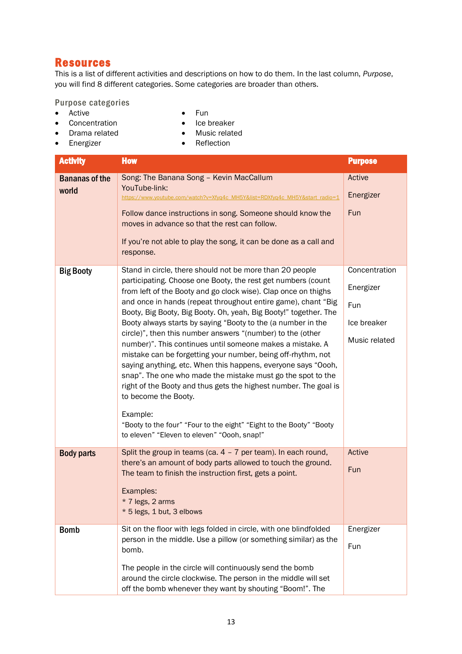# <span id="page-12-0"></span>Resources

This is a list of different activities and descriptions on how to do them. In the last column, *Purpose*, you will find 8 different categories. Some categories are broader than others.

<span id="page-12-1"></span>Purpose categories

• Active

- Fun
- Concentration
- Ice breaker
- Drama related • Energizer
- Music related • Reflection

| <b>Activity</b>                | <b>How</b>                                                                                                                                                                                                                                                                                                                                                                                                                                                                                                                                                                                                                                                                                                                                                                                                                                                                                                                                               | <b>Purpose</b>                                                    |
|--------------------------------|----------------------------------------------------------------------------------------------------------------------------------------------------------------------------------------------------------------------------------------------------------------------------------------------------------------------------------------------------------------------------------------------------------------------------------------------------------------------------------------------------------------------------------------------------------------------------------------------------------------------------------------------------------------------------------------------------------------------------------------------------------------------------------------------------------------------------------------------------------------------------------------------------------------------------------------------------------|-------------------------------------------------------------------|
| <b>Bananas of the</b><br>world | Song: The Banana Song - Kevin MacCallum<br>YouTube-link:<br>https://www.youtube.com/watch?v=Xfyq4c_MH5Y&list=RDXfyq4c_MH5Y&start_radio=1<br>Follow dance instructions in song. Someone should know the<br>moves in advance so that the rest can follow.<br>If you're not able to play the song, it can be done as a call and<br>response.                                                                                                                                                                                                                                                                                                                                                                                                                                                                                                                                                                                                                | Active<br>Energizer<br>Fun                                        |
| <b>Big Booty</b>               | Stand in circle, there should not be more than 20 people<br>participating. Choose one Booty, the rest get numbers (count<br>from left of the Booty and go clock wise). Clap once on thighs<br>and once in hands (repeat throughout entire game), chant "Big<br>Booty, Big Booty, Big Booty. Oh, yeah, Big Booty!" together. The<br>Booty always starts by saying "Booty to the (a number in the<br>circle)", then this number answers "(number) to the (other<br>number)". This continues until someone makes a mistake. A<br>mistake can be forgetting your number, being off-rhythm, not<br>saying anything, etc. When this happens, everyone says "Oooh,<br>snap". The one who made the mistake must go the spot to the<br>right of the Booty and thus gets the highest number. The goal is<br>to become the Booty.<br>Example:<br>"Booty to the four" "Four to the eight" "Eight to the Booty" "Booty<br>to eleven" "Eleven to eleven" "Oooh, snap!" | Concentration<br>Energizer<br>Fun<br>Ice breaker<br>Music related |
| <b>Body parts</b>              | Split the group in teams (ca. $4 - 7$ per team). In each round,<br>there's an amount of body parts allowed to touch the ground.<br>The team to finish the instruction first, gets a point.<br>Examples:<br>$*$ 7 legs. 2 arms<br>* 5 legs, 1 but, 3 elbows                                                                                                                                                                                                                                                                                                                                                                                                                                                                                                                                                                                                                                                                                               | Active<br>Fun                                                     |
| <b>Bomb</b>                    | Sit on the floor with legs folded in circle, with one blindfolded<br>person in the middle. Use a pillow (or something similar) as the<br>bomb.<br>The people in the circle will continuously send the bomb<br>around the circle clockwise. The person in the middle will set<br>off the bomb whenever they want by shouting "Boom!". The                                                                                                                                                                                                                                                                                                                                                                                                                                                                                                                                                                                                                 | Energizer<br>Fun                                                  |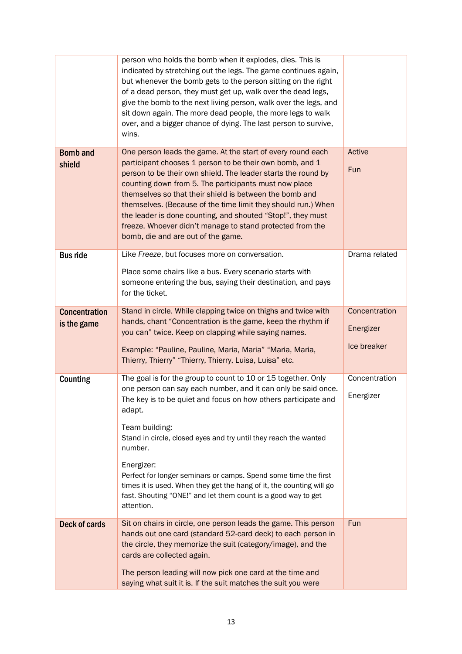|                                     | person who holds the bomb when it explodes, dies. This is<br>indicated by stretching out the legs. The game continues again,<br>but whenever the bomb gets to the person sitting on the right<br>of a dead person, they must get up, walk over the dead legs,<br>give the bomb to the next living person, walk over the legs, and<br>sit down again. The more dead people, the more legs to walk<br>over, and a bigger chance of dying. The last person to survive,<br>wins.                                                                        |                                           |
|-------------------------------------|-----------------------------------------------------------------------------------------------------------------------------------------------------------------------------------------------------------------------------------------------------------------------------------------------------------------------------------------------------------------------------------------------------------------------------------------------------------------------------------------------------------------------------------------------------|-------------------------------------------|
| <b>Bomb and</b><br>shield           | One person leads the game. At the start of every round each<br>participant chooses 1 person to be their own bomb, and 1<br>person to be their own shield. The leader starts the round by<br>counting down from 5. The participants must now place<br>themselves so that their shield is between the bomb and<br>themselves. (Because of the time limit they should run.) When<br>the leader is done counting, and shouted "Stop!", they must<br>freeze. Whoever didn't manage to stand protected from the<br>bomb, die and are out of the game.     | Active<br>Fun                             |
| <b>Bus ride</b>                     | Like Freeze, but focuses more on conversation.<br>Place some chairs like a bus. Every scenario starts with<br>someone entering the bus, saying their destination, and pays<br>for the ticket.                                                                                                                                                                                                                                                                                                                                                       | Drama related                             |
| <b>Concentration</b><br>is the game | Stand in circle. While clapping twice on thighs and twice with<br>hands, chant "Concentration is the game, keep the rhythm if<br>you can" twice. Keep on clapping while saying names.<br>Example: "Pauline, Pauline, Maria, Maria" "Maria, Maria,<br>Thierry, Thierry" "Thierry, Thierry, Luisa, Luisa" etc.                                                                                                                                                                                                                                        | Concentration<br>Energizer<br>Ice breaker |
| Counting                            | The goal is for the group to count to 10 or 15 together. Only<br>one person can say each number, and it can only be said once.<br>The key is to be quiet and focus on how others participate and<br>adapt.<br>Team building:<br>Stand in circle, closed eyes and try until they reach the wanted<br>number.<br>Energizer:<br>Perfect for longer seminars or camps. Spend some time the first<br>times it is used. When they get the hang of it, the counting will go<br>fast. Shouting "ONE!" and let them count is a good way to get<br>attention. | Concentration<br>Energizer                |
| <b>Deck of cards</b>                | Sit on chairs in circle, one person leads the game. This person<br>hands out one card (standard 52-card deck) to each person in<br>the circle, they memorize the suit (category/image), and the<br>cards are collected again.<br>The person leading will now pick one card at the time and<br>saying what suit it is. If the suit matches the suit you were                                                                                                                                                                                         | Fun                                       |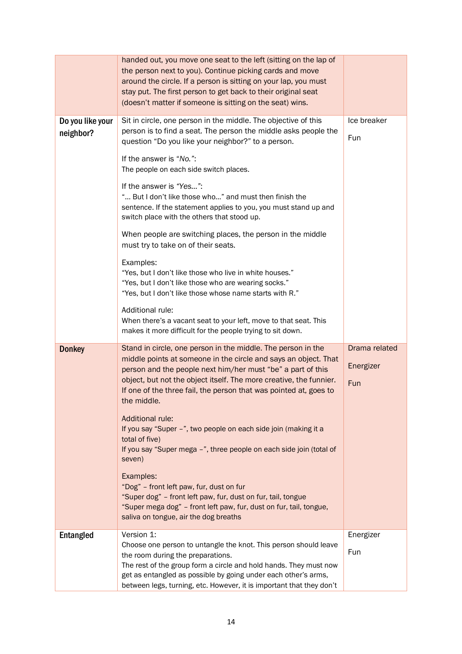|                               | handed out, you move one seat to the left (sitting on the lap of<br>the person next to you). Continue picking cards and move<br>around the circle. If a person is sitting on your lap, you must<br>stay put. The first person to get back to their original seat<br>(doesn't matter if someone is sitting on the seat) wins.                                                                                                                                                                                                                                                                                                                                                                                                                                                               |                                   |
|-------------------------------|--------------------------------------------------------------------------------------------------------------------------------------------------------------------------------------------------------------------------------------------------------------------------------------------------------------------------------------------------------------------------------------------------------------------------------------------------------------------------------------------------------------------------------------------------------------------------------------------------------------------------------------------------------------------------------------------------------------------------------------------------------------------------------------------|-----------------------------------|
| Do you like your<br>neighbor? | Sit in circle, one person in the middle. The objective of this<br>person is to find a seat. The person the middle asks people the<br>question "Do you like your neighbor?" to a person.<br>If the answer is "No.":<br>The people on each side switch places.<br>If the answer is "Yes":<br>" But I don't like those who" and must then finish the<br>sentence. If the statement applies to you, you must stand up and<br>switch place with the others that stood up.<br>When people are switching places, the person in the middle                                                                                                                                                                                                                                                         | Ice breaker<br>Fun                |
|                               | must try to take on of their seats.<br>Examples:<br>"Yes, but I don't like those who live in white houses."<br>"Yes, but I don't like those who are wearing socks."<br>"Yes, but I don't like those whose name starts with R."<br>Additional rule:<br>When there's a vacant seat to your left, move to that seat. This<br>makes it more difficult for the people trying to sit down.                                                                                                                                                                                                                                                                                                                                                                                                       |                                   |
| <b>Donkey</b>                 | Stand in circle, one person in the middle. The person in the<br>middle points at someone in the circle and says an object. That<br>person and the people next him/her must "be" a part of this<br>object, but not the object itself. The more creative, the funnier.<br>If one of the three fail, the person that was pointed at, goes to<br>the middle.<br>Additional rule:<br>If you say "Super -", two people on each side join (making it a<br>total of five)<br>If you say "Super mega -", three people on each side join (total of<br>seven)<br>Examples:<br>"Dog" - front left paw, fur, dust on fur<br>"Super dog" - front left paw, fur, dust on fur, tail, tongue<br>"Super mega dog" - front left paw, fur, dust on fur, tail, tongue,<br>saliva on tongue, air the dog breaths | Drama related<br>Energizer<br>Fun |
| <b>Entangled</b>              | Version 1:<br>Choose one person to untangle the knot. This person should leave<br>the room during the preparations.<br>The rest of the group form a circle and hold hands. They must now<br>get as entangled as possible by going under each other's arms,<br>between legs, turning, etc. However, it is important that they don't                                                                                                                                                                                                                                                                                                                                                                                                                                                         | Energizer<br>Fun                  |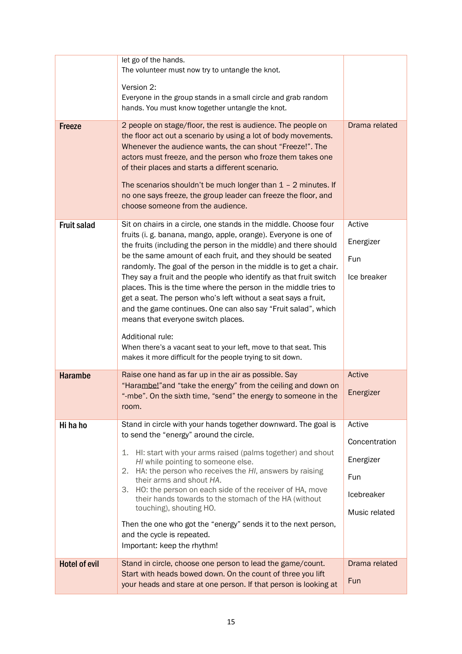|                      | let go of the hands.<br>The volunteer must now try to untangle the knot.                                                                                                                                                                                                                                                                                                                                                                                                                                                                                                                                                                                                                                                                                                                                            |                                                                            |
|----------------------|---------------------------------------------------------------------------------------------------------------------------------------------------------------------------------------------------------------------------------------------------------------------------------------------------------------------------------------------------------------------------------------------------------------------------------------------------------------------------------------------------------------------------------------------------------------------------------------------------------------------------------------------------------------------------------------------------------------------------------------------------------------------------------------------------------------------|----------------------------------------------------------------------------|
|                      | Version 2:<br>Everyone in the group stands in a small circle and grab random<br>hands. You must know together untangle the knot.                                                                                                                                                                                                                                                                                                                                                                                                                                                                                                                                                                                                                                                                                    |                                                                            |
| <b>Freeze</b>        | 2 people on stage/floor, the rest is audience. The people on<br>the floor act out a scenario by using a lot of body movements.<br>Whenever the audience wants, the can shout "Freeze!". The<br>actors must freeze, and the person who froze them takes one<br>of their places and starts a different scenario.<br>The scenarios shouldn't be much longer than $1 - 2$ minutes. If<br>no one says freeze, the group leader can freeze the floor, and<br>choose someone from the audience.                                                                                                                                                                                                                                                                                                                            | Drama related                                                              |
| <b>Fruit salad</b>   | Sit on chairs in a circle, one stands in the middle. Choose four<br>fruits (i. g. banana, mango, apple, orange). Everyone is one of<br>the fruits (including the person in the middle) and there should<br>be the same amount of each fruit, and they should be seated<br>randomly. The goal of the person in the middle is to get a chair.<br>They say a fruit and the people who identify as that fruit switch<br>places. This is the time where the person in the middle tries to<br>get a seat. The person who's left without a seat says a fruit,<br>and the game continues. One can also say "Fruit salad", which<br>means that everyone switch places.<br>Additional rule:<br>When there's a vacant seat to your left, move to that seat. This<br>makes it more difficult for the people trying to sit down. | Active<br>Energizer<br>Fun<br>Ice breaker                                  |
| <b>Harambe</b>       | Raise one hand as far up in the air as possible. Say<br>"Harambe!" and "take the energy" from the ceiling and down on<br>"-mbe". On the sixth time, "send" the energy to someone in the<br>room.                                                                                                                                                                                                                                                                                                                                                                                                                                                                                                                                                                                                                    | Active<br>Energizer                                                        |
| Hi ha ho             | Stand in circle with your hands together downward. The goal is<br>to send the "energy" around the circle.<br>HI: start with your arms raised (palms together) and shout<br>1.<br>HI while pointing to someone else.<br>2. HA: the person who receives the HI, answers by raising<br>their arms and shout HA.<br>3. HO: the person on each side of the receiver of HA, move<br>their hands towards to the stomach of the HA (without<br>touching), shouting HO.<br>Then the one who got the "energy" sends it to the next person,<br>and the cycle is repeated.<br>Important: keep the rhythm!                                                                                                                                                                                                                       | Active<br>Concentration<br>Energizer<br>Fun<br>Icebreaker<br>Music related |
| <b>Hotel of evil</b> | Stand in circle, choose one person to lead the game/count.<br>Start with heads bowed down. On the count of three you lift<br>your heads and stare at one person. If that person is looking at                                                                                                                                                                                                                                                                                                                                                                                                                                                                                                                                                                                                                       | Drama related<br>Fun                                                       |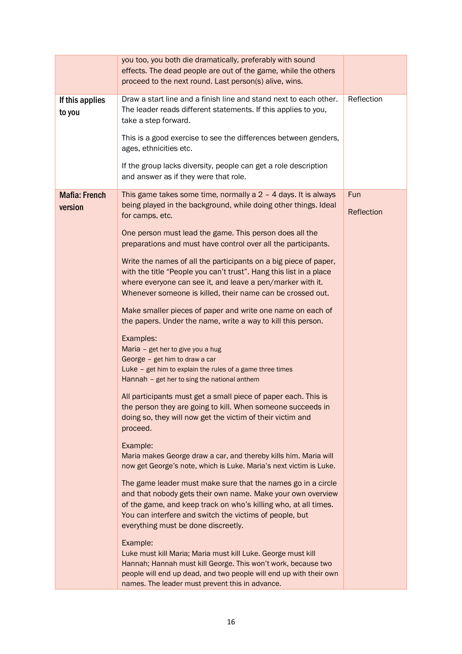|                      | you too, you both die dramatically, preferably with sound                                   |            |
|----------------------|---------------------------------------------------------------------------------------------|------------|
|                      | effects. The dead people are out of the game, while the others                              |            |
|                      | proceed to the next round. Last person(s) alive, wins.                                      |            |
|                      |                                                                                             |            |
| If this applies      | Draw a start line and a finish line and stand next to each other.                           | Reflection |
| to you               | The leader reads different statements. If this applies to you,                              |            |
|                      | take a step forward.                                                                        |            |
|                      | This is a good exercise to see the differences between genders,                             |            |
|                      | ages, ethnicities etc.                                                                      |            |
|                      |                                                                                             |            |
|                      | If the group lacks diversity, people can get a role description                             |            |
|                      | and answer as if they were that role.                                                       |            |
| <b>Mafia: French</b> | This game takes some time, normally a $2 - 4$ days. It is always                            | Fun        |
|                      | being played in the background, while doing other things. Ideal                             |            |
| version              | for camps, etc.                                                                             | Reflection |
|                      |                                                                                             |            |
|                      | One person must lead the game. This person does all the                                     |            |
|                      | preparations and must have control over all the participants.                               |            |
|                      |                                                                                             |            |
|                      | Write the names of all the participants on a big piece of paper,                            |            |
|                      | with the title "People you can't trust". Hang this list in a place                          |            |
|                      | where everyone can see it, and leave a pen/marker with it.                                  |            |
|                      | Whenever someone is killed, their name can be crossed out.                                  |            |
|                      | Make smaller pieces of paper and write one name on each of                                  |            |
|                      | the papers. Under the name, write a way to kill this person.                                |            |
|                      |                                                                                             |            |
|                      | Examples:                                                                                   |            |
|                      | Maria - get her to give you a hug                                                           |            |
|                      | George - get him to draw a car<br>Luke - get him to explain the rules of a game three times |            |
|                      | Hannah - get her to sing the national anthem                                                |            |
|                      |                                                                                             |            |
|                      | All participants must get a small piece of paper each. This is                              |            |
|                      | the person they are going to kill. When someone succeeds in                                 |            |
|                      | doing so, they will now get the victim of their victim and                                  |            |
|                      | proceed.                                                                                    |            |
|                      | Example:                                                                                    |            |
|                      | Maria makes George draw a car, and thereby kills him. Maria will                            |            |
|                      | now get George's note, which is Luke. Maria's next victim is Luke.                          |            |
|                      |                                                                                             |            |
|                      | The game leader must make sure that the names go in a circle                                |            |
|                      | and that nobody gets their own name. Make your own overview                                 |            |
|                      | of the game, and keep track on who's killing who, at all times.                             |            |
|                      | You can interfere and switch the victims of people, but                                     |            |
|                      | everything must be done discreetly.                                                         |            |
|                      | Example:                                                                                    |            |
|                      | Luke must kill Maria; Maria must kill Luke. George must kill                                |            |
|                      | Hannah; Hannah must kill George. This won't work, because two                               |            |
|                      | people will end up dead, and two people will end up with their own                          |            |
|                      | names. The leader must prevent this in advance.                                             |            |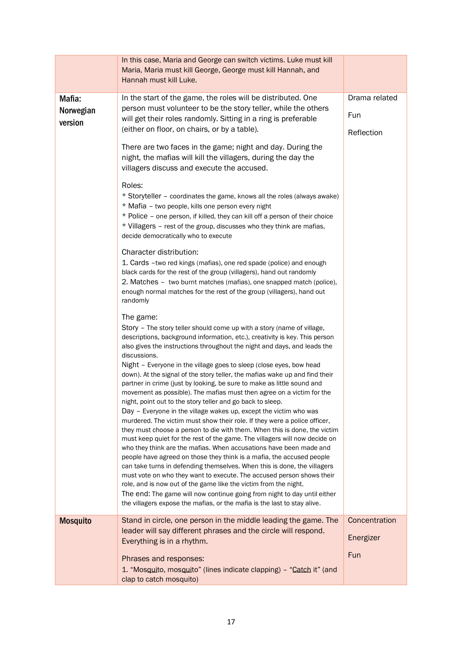|                                | In this case, Maria and George can switch victims. Luke must kill<br>Maria, Maria must kill George, George must kill Hannah, and<br>Hannah must kill Luke.                                                                                                                                                                                                                                                                                                                                                                                                                                                                                                                                                                                                                                                                                                                                                                                                                                                                                                                                                                                                                                                                                                                                                                                                                                                                                                                         |                                    |
|--------------------------------|------------------------------------------------------------------------------------------------------------------------------------------------------------------------------------------------------------------------------------------------------------------------------------------------------------------------------------------------------------------------------------------------------------------------------------------------------------------------------------------------------------------------------------------------------------------------------------------------------------------------------------------------------------------------------------------------------------------------------------------------------------------------------------------------------------------------------------------------------------------------------------------------------------------------------------------------------------------------------------------------------------------------------------------------------------------------------------------------------------------------------------------------------------------------------------------------------------------------------------------------------------------------------------------------------------------------------------------------------------------------------------------------------------------------------------------------------------------------------------|------------------------------------|
| Mafia:<br>Norwegian<br>version | In the start of the game, the roles will be distributed. One<br>person must volunteer to be the story teller, while the others<br>will get their roles randomly. Sitting in a ring is preferable<br>(either on floor, on chairs, or by a table).<br>There are two faces in the game; night and day. During the<br>night, the mafias will kill the villagers, during the day the<br>villagers discuss and execute the accused.                                                                                                                                                                                                                                                                                                                                                                                                                                                                                                                                                                                                                                                                                                                                                                                                                                                                                                                                                                                                                                                      | Drama related<br>Fun<br>Reflection |
|                                | Roles:<br>* Storyteller - coordinates the game, knows all the roles (always awake)<br>* Mafia - two people, kills one person every night<br>* Police - one person, if killed, they can kill off a person of their choice<br>* Villagers - rest of the group, discusses who they think are mafias,<br>decide democratically who to execute                                                                                                                                                                                                                                                                                                                                                                                                                                                                                                                                                                                                                                                                                                                                                                                                                                                                                                                                                                                                                                                                                                                                          |                                    |
|                                | Character distribution:<br>1. Cards -two red kings (mafias), one red spade (police) and enough<br>black cards for the rest of the group (villagers), hand out randomly<br>2. Matches – two burnt matches (mafias), one snapped match (police),<br>enough normal matches for the rest of the group (villagers), hand out<br>randomly                                                                                                                                                                                                                                                                                                                                                                                                                                                                                                                                                                                                                                                                                                                                                                                                                                                                                                                                                                                                                                                                                                                                                |                                    |
|                                | The game:<br>Story – The story teller should come up with a story (name of village,<br>descriptions, background information, etc.), creativity is key. This person<br>also gives the instructions throughout the night and days, and leads the<br>discussions.<br>Night – Everyone in the village goes to sleep (close eyes, bow head<br>down). At the signal of the story teller, the mafias wake up and find their<br>partner in crime (just by looking, be sure to make as little sound and<br>movement as possible). The mafias must then agree on a victim for the<br>night, point out to the story teller and go back to sleep.<br>Day - Everyone in the village wakes up, except the victim who was<br>murdered. The victim must show their role. If they were a police officer,<br>they must choose a person to die with them. When this is done, the victim<br>must keep quiet for the rest of the game. The villagers will now decide on<br>who they think are the mafias. When accusations have been made and<br>people have agreed on those they think is a mafia, the accused people<br>can take turns in defending themselves. When this is done, the villagers<br>must vote on who they want to execute. The accused person shows their<br>role, and is now out of the game like the victim from the night.<br>The end: The game will now continue going from night to day until either<br>the villagers expose the mafias, or the mafia is the last to stay alive. |                                    |
| <b>Mosquito</b>                | Stand in circle, one person in the middle leading the game. The<br>leader will say different phrases and the circle will respond.<br>Everything is in a rhythm.                                                                                                                                                                                                                                                                                                                                                                                                                                                                                                                                                                                                                                                                                                                                                                                                                                                                                                                                                                                                                                                                                                                                                                                                                                                                                                                    | Concentration<br>Energizer<br>Fun  |
|                                | Phrases and responses:<br>1. "Mosquito, mosquito" (lines indicate clapping) - "Catch it" (and<br>clap to catch mosquito)                                                                                                                                                                                                                                                                                                                                                                                                                                                                                                                                                                                                                                                                                                                                                                                                                                                                                                                                                                                                                                                                                                                                                                                                                                                                                                                                                           |                                    |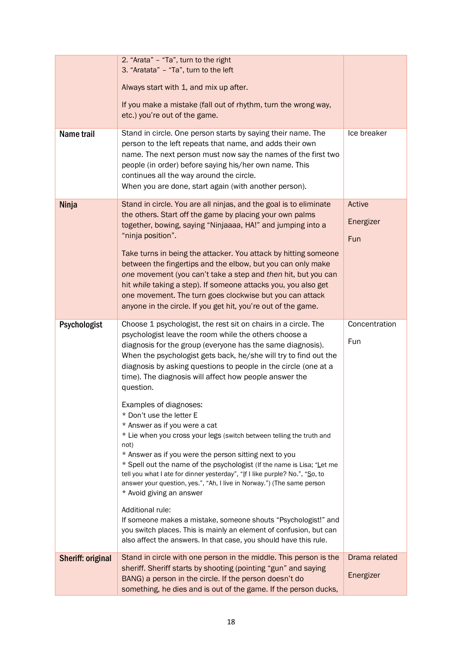|                          | 2. "Arata" - "Ta", turn to the right<br>3. "Aratata" - "Ta", turn to the left                                                                                                                                                                                                                                                                                                                                                                                                                |                            |
|--------------------------|----------------------------------------------------------------------------------------------------------------------------------------------------------------------------------------------------------------------------------------------------------------------------------------------------------------------------------------------------------------------------------------------------------------------------------------------------------------------------------------------|----------------------------|
|                          | Always start with 1, and mix up after.                                                                                                                                                                                                                                                                                                                                                                                                                                                       |                            |
|                          | If you make a mistake (fall out of rhythm, turn the wrong way,<br>etc.) you're out of the game.                                                                                                                                                                                                                                                                                                                                                                                              |                            |
| Name trail               | Stand in circle. One person starts by saying their name. The<br>person to the left repeats that name, and adds their own<br>name. The next person must now say the names of the first two<br>people (in order) before saying his/her own name. This<br>continues all the way around the circle.<br>When you are done, start again (with another person).                                                                                                                                     | Ice breaker                |
| Ninja                    | Stand in circle. You are all ninjas, and the goal is to eliminate<br>the others. Start off the game by placing your own palms<br>together, bowing, saying "Ninjaaaa, HA!" and jumping into a<br>"ninja position".<br>Take turns in being the attacker. You attack by hitting someone<br>between the fingertips and the elbow, but you can only make                                                                                                                                          | Active<br>Energizer<br>Fun |
|                          | one movement (you can't take a step and then hit, but you can<br>hit while taking a step). If someone attacks you, you also get<br>one movement. The turn goes clockwise but you can attack<br>anyone in the circle. If you get hit, you're out of the game.                                                                                                                                                                                                                                 |                            |
| Psychologist             | Choose 1 psychologist, the rest sit on chairs in a circle. The<br>psychologist leave the room while the others choose a<br>diagnosis for the group (everyone has the same diagnosis).<br>When the psychologist gets back, he/she will try to find out the<br>diagnosis by asking questions to people in the circle (one at a<br>time). The diagnosis will affect how people answer the<br>question.                                                                                          | Concentration<br>Fun       |
|                          | Examples of diagnoses:<br>* Don't use the letter E<br>* Answer as if you were a cat<br>* Lie when you cross your legs (switch between telling the truth and<br>not)<br>* Answer as if you were the person sitting next to you<br>* Spell out the name of the psychologist (If the name is Lisa; "Let me<br>tell you what I ate for dinner yesterday", "If I like purple? No.", "So, to<br>answer your question, yes.", "Ah, I live in Norway.") (The same person<br>* Avoid giving an answer |                            |
|                          | Additional rule:<br>If someone makes a mistake, someone shouts "Psychologist!" and<br>you switch places. This is mainly an element of confusion, but can<br>also affect the answers. In that case, you should have this rule.                                                                                                                                                                                                                                                                |                            |
| <b>Sheriff: original</b> | Stand in circle with one person in the middle. This person is the<br>sheriff. Sheriff starts by shooting (pointing "gun" and saying<br>BANG) a person in the circle. If the person doesn't do<br>something, he dies and is out of the game. If the person ducks,                                                                                                                                                                                                                             | Drama related<br>Energizer |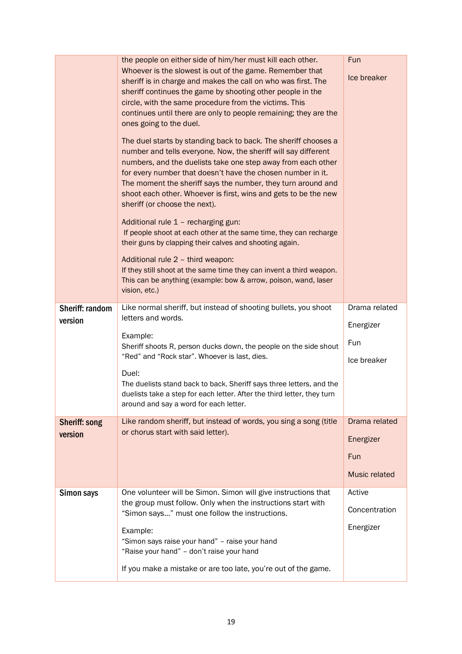|                            | the people on either side of him/her must kill each other.<br>Whoever is the slowest is out of the game. Remember that<br>sheriff is in charge and makes the call on who was first. The<br>sheriff continues the game by shooting other people in the<br>circle, with the same procedure from the victims. This<br>continues until there are only to people remaining; they are the<br>ones going to the duel.<br>The duel starts by standing back to back. The sheriff chooses a<br>number and tells everyone. Now, the sheriff will say different<br>numbers, and the duelists take one step away from each other<br>for every number that doesn't have the chosen number in it.<br>The moment the sheriff says the number, they turn around and<br>shoot each other. Whoever is first, wins and gets to be the new<br>sheriff (or choose the next).<br>Additional rule 1 - recharging gun:<br>If people shoot at each other at the same time, they can recharge<br>their guns by clapping their calves and shooting again.<br>Additional rule 2 - third weapon:<br>If they still shoot at the same time they can invent a third weapon.<br>This can be anything (example: bow & arrow, poison, wand, laser<br>vision, etc.) | Fun<br>Ice breaker |
|----------------------------|--------------------------------------------------------------------------------------------------------------------------------------------------------------------------------------------------------------------------------------------------------------------------------------------------------------------------------------------------------------------------------------------------------------------------------------------------------------------------------------------------------------------------------------------------------------------------------------------------------------------------------------------------------------------------------------------------------------------------------------------------------------------------------------------------------------------------------------------------------------------------------------------------------------------------------------------------------------------------------------------------------------------------------------------------------------------------------------------------------------------------------------------------------------------------------------------------------------------------------|--------------------|
| Sheriff: random<br>version | Like normal sheriff, but instead of shooting bullets, you shoot<br>letters and words.                                                                                                                                                                                                                                                                                                                                                                                                                                                                                                                                                                                                                                                                                                                                                                                                                                                                                                                                                                                                                                                                                                                                          | Drama related      |
|                            | Example:                                                                                                                                                                                                                                                                                                                                                                                                                                                                                                                                                                                                                                                                                                                                                                                                                                                                                                                                                                                                                                                                                                                                                                                                                       | Energizer          |
|                            | Sheriff shoots R, person ducks down, the people on the side shout<br>"Red" and "Rock star". Whoever is last, dies.                                                                                                                                                                                                                                                                                                                                                                                                                                                                                                                                                                                                                                                                                                                                                                                                                                                                                                                                                                                                                                                                                                             | Fun<br>Ice breaker |
|                            | Duel:<br>The duelists stand back to back. Sheriff says three letters, and the                                                                                                                                                                                                                                                                                                                                                                                                                                                                                                                                                                                                                                                                                                                                                                                                                                                                                                                                                                                                                                                                                                                                                  |                    |
|                            | duelists take a step for each letter. After the third letter, they turn<br>around and say a word for each letter.                                                                                                                                                                                                                                                                                                                                                                                                                                                                                                                                                                                                                                                                                                                                                                                                                                                                                                                                                                                                                                                                                                              |                    |
| <b>Sheriff: song</b>       | Like random sheriff, but instead of words, you sing a song (title                                                                                                                                                                                                                                                                                                                                                                                                                                                                                                                                                                                                                                                                                                                                                                                                                                                                                                                                                                                                                                                                                                                                                              | Drama related      |
| version                    | or chorus start with said letter).                                                                                                                                                                                                                                                                                                                                                                                                                                                                                                                                                                                                                                                                                                                                                                                                                                                                                                                                                                                                                                                                                                                                                                                             | Energizer          |
|                            |                                                                                                                                                                                                                                                                                                                                                                                                                                                                                                                                                                                                                                                                                                                                                                                                                                                                                                                                                                                                                                                                                                                                                                                                                                | <b>Fun</b>         |
|                            |                                                                                                                                                                                                                                                                                                                                                                                                                                                                                                                                                                                                                                                                                                                                                                                                                                                                                                                                                                                                                                                                                                                                                                                                                                | Music related      |
| Simon says                 | One volunteer will be Simon. Simon will give instructions that<br>the group must follow. Only when the instructions start with                                                                                                                                                                                                                                                                                                                                                                                                                                                                                                                                                                                                                                                                                                                                                                                                                                                                                                                                                                                                                                                                                                 | Active             |
|                            | "Simon says" must one follow the instructions.                                                                                                                                                                                                                                                                                                                                                                                                                                                                                                                                                                                                                                                                                                                                                                                                                                                                                                                                                                                                                                                                                                                                                                                 | Concentration      |
|                            | Example:                                                                                                                                                                                                                                                                                                                                                                                                                                                                                                                                                                                                                                                                                                                                                                                                                                                                                                                                                                                                                                                                                                                                                                                                                       | Energizer          |
|                            | "Simon says raise your hand" - raise your hand<br>"Raise your hand" - don't raise your hand                                                                                                                                                                                                                                                                                                                                                                                                                                                                                                                                                                                                                                                                                                                                                                                                                                                                                                                                                                                                                                                                                                                                    |                    |
|                            | If you make a mistake or are too late, you're out of the game.                                                                                                                                                                                                                                                                                                                                                                                                                                                                                                                                                                                                                                                                                                                                                                                                                                                                                                                                                                                                                                                                                                                                                                 |                    |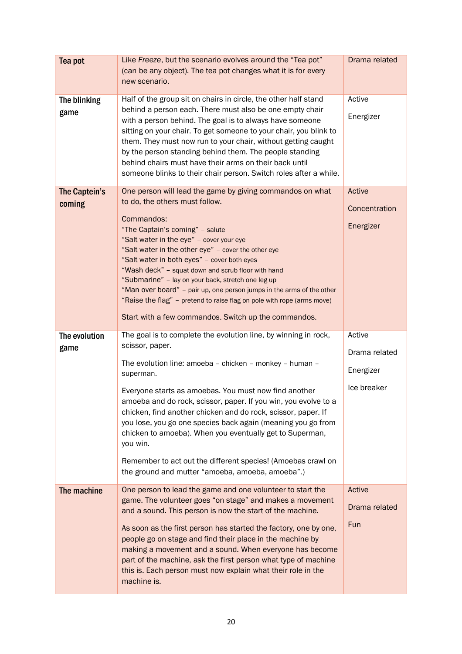| Tea pot                 | Like Freeze, but the scenario evolves around the "Tea pot"<br>(can be any object). The tea pot changes what it is for every<br>new scenario.                                                                                                                                                                                                                                                                                                                                                                                                                                                                          | Drama related                                       |
|-------------------------|-----------------------------------------------------------------------------------------------------------------------------------------------------------------------------------------------------------------------------------------------------------------------------------------------------------------------------------------------------------------------------------------------------------------------------------------------------------------------------------------------------------------------------------------------------------------------------------------------------------------------|-----------------------------------------------------|
| The blinking<br>game    | Half of the group sit on chairs in circle, the other half stand<br>behind a person each. There must also be one empty chair<br>with a person behind. The goal is to always have someone<br>sitting on your chair. To get someone to your chair, you blink to<br>them. They must now run to your chair, without getting caught<br>by the person standing behind them. The people standing<br>behind chairs must have their arms on their back until<br>someone blinks to their chair person. Switch roles after a while.                                                                                               | Active<br>Energizer                                 |
| The Captein's<br>coming | One person will lead the game by giving commandos on what<br>to do, the others must follow.<br>Commandos:<br>"The Captain's coming" - salute<br>"Salt water in the eye" - cover your eye<br>"Salt water in the other eye" - cover the other eye<br>"Salt water in both eyes" - cover both eyes<br>"Wash deck" - squat down and scrub floor with hand<br>"Submarine" - lay on your back, stretch one leg up<br>"Man over board" - pair up, one person jumps in the arms of the other<br>"Raise the flag" - pretend to raise flag on pole with rope (arms move)<br>Start with a few commandos. Switch up the commandos. | Active<br>Concentration<br>Energizer                |
| The evolution<br>game   | The goal is to complete the evolution line, by winning in rock,<br>scissor, paper.<br>The evolution line: amoeba - chicken - monkey - human -<br>superman.<br>Everyone starts as amoebas. You must now find another<br>amoeba and do rock, scissor, paper. If you win, you evolve to a<br>chicken, find another chicken and do rock, scissor, paper. If<br>you lose, you go one species back again (meaning you go from<br>chicken to amoeba). When you eventually get to Superman,<br>you win.<br>Remember to act out the different species! (Amoebas crawl on<br>the ground and mutter "amoeba, amoeba, amoeba".)   | Active<br>Drama related<br>Energizer<br>Ice breaker |
| The machine             | One person to lead the game and one volunteer to start the<br>game. The volunteer goes "on stage" and makes a movement<br>and a sound. This person is now the start of the machine.<br>As soon as the first person has started the factory, one by one,<br>people go on stage and find their place in the machine by<br>making a movement and a sound. When everyone has become<br>part of the machine, ask the first person what type of machine<br>this is. Each person must now explain what their role in the<br>machine is.                                                                                      | Active<br>Drama related<br>Fun                      |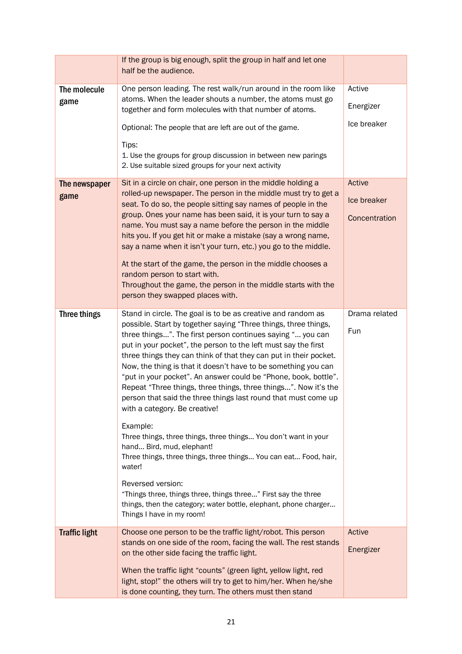|                      | If the group is big enough, split the group in half and let one<br>half be the audience.                                                                                                                                                                                                                                                                                                                                                                                                                                                                                                                                                        |                      |
|----------------------|-------------------------------------------------------------------------------------------------------------------------------------------------------------------------------------------------------------------------------------------------------------------------------------------------------------------------------------------------------------------------------------------------------------------------------------------------------------------------------------------------------------------------------------------------------------------------------------------------------------------------------------------------|----------------------|
| The molecule<br>game | One person leading. The rest walk/run around in the room like<br>atoms. When the leader shouts a number, the atoms must go<br>together and form molecules with that number of atoms.                                                                                                                                                                                                                                                                                                                                                                                                                                                            | Active<br>Energizer  |
|                      | Optional: The people that are left are out of the game.                                                                                                                                                                                                                                                                                                                                                                                                                                                                                                                                                                                         | Ice breaker          |
|                      | Tips:<br>1. Use the groups for group discussion in between new parings<br>2. Use suitable sized groups for your next activity                                                                                                                                                                                                                                                                                                                                                                                                                                                                                                                   |                      |
| The newspaper        | Sit in a circle on chair, one person in the middle holding a<br>rolled-up newspaper. The person in the middle must try to get a                                                                                                                                                                                                                                                                                                                                                                                                                                                                                                                 | Active               |
| game                 | seat. To do so, the people sitting say names of people in the                                                                                                                                                                                                                                                                                                                                                                                                                                                                                                                                                                                   | Ice breaker          |
|                      | group. Ones your name has been said, it is your turn to say a<br>name. You must say a name before the person in the middle<br>hits you. If you get hit or make a mistake (say a wrong name,<br>say a name when it isn't your turn, etc.) you go to the middle.                                                                                                                                                                                                                                                                                                                                                                                  | Concentration        |
|                      | At the start of the game, the person in the middle chooses a<br>random person to start with.<br>Throughout the game, the person in the middle starts with the                                                                                                                                                                                                                                                                                                                                                                                                                                                                                   |                      |
|                      | person they swapped places with.                                                                                                                                                                                                                                                                                                                                                                                                                                                                                                                                                                                                                |                      |
| Three things         | Stand in circle. The goal is to be as creative and random as<br>possible. Start by together saying "Three things, three things,<br>three things". The first person continues saying " you can<br>put in your pocket", the person to the left must say the first<br>three things they can think of that they can put in their pocket.<br>Now, the thing is that it doesn't have to be something you can<br>"put in your pocket". An answer could be "Phone, book, bottle".<br>Repeat "Three things, three things, three things". Now it's the<br>person that said the three things last round that must come up<br>with a category. Be creative! | Drama related<br>Fun |
|                      | Example:<br>Three things, three things, three things You don't want in your<br>hand Bird, mud, elephant!<br>Three things, three things, three things You can eat Food, hair,<br>water!                                                                                                                                                                                                                                                                                                                                                                                                                                                          |                      |
|                      | Reversed version:<br>"Things three, things three, things three" First say the three<br>things, then the category; water bottle, elephant, phone charger<br>Things I have in my room!                                                                                                                                                                                                                                                                                                                                                                                                                                                            |                      |
| <b>Traffic light</b> | Choose one person to be the traffic light/robot. This person<br>stands on one side of the room, facing the wall. The rest stands                                                                                                                                                                                                                                                                                                                                                                                                                                                                                                                | Active               |
|                      | on the other side facing the traffic light.                                                                                                                                                                                                                                                                                                                                                                                                                                                                                                                                                                                                     | Energizer            |
|                      | When the traffic light "counts" (green light, yellow light, red<br>light, stop!" the others will try to get to him/her. When he/she<br>is done counting, they turn. The others must then stand                                                                                                                                                                                                                                                                                                                                                                                                                                                  |                      |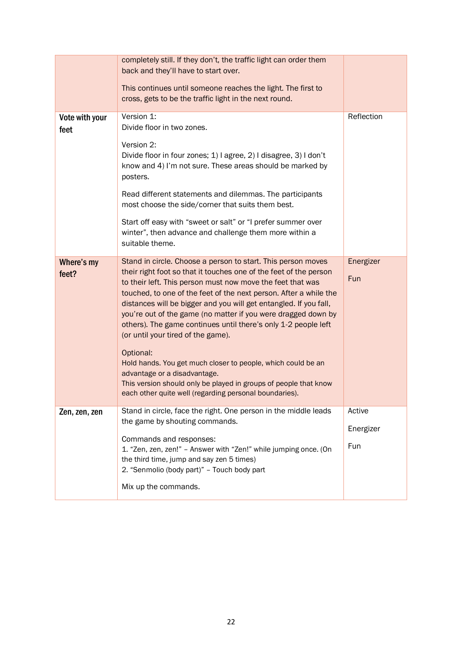|                        | completely still. If they don't, the traffic light can order them<br>back and they'll have to start over.<br>This continues until someone reaches the light. The first to<br>cross, gets to be the traffic light in the next round.                                                                                                                                                                                                                                                                                                                                                                                                                                                                                                                           |                            |
|------------------------|---------------------------------------------------------------------------------------------------------------------------------------------------------------------------------------------------------------------------------------------------------------------------------------------------------------------------------------------------------------------------------------------------------------------------------------------------------------------------------------------------------------------------------------------------------------------------------------------------------------------------------------------------------------------------------------------------------------------------------------------------------------|----------------------------|
| Vote with your<br>feet | Version 1:<br>Divide floor in two zones.<br>Version 2:<br>Divide floor in four zones; 1) I agree, 2) I disagree, 3) I don't<br>know and 4) I'm not sure. These areas should be marked by<br>posters.<br>Read different statements and dilemmas. The participants<br>most choose the side/corner that suits them best.<br>Start off easy with "sweet or salt" or "I prefer summer over<br>winter", then advance and challenge them more within a<br>suitable theme.                                                                                                                                                                                                                                                                                            | Reflection                 |
| Where's my<br>feet?    | Stand in circle. Choose a person to start. This person moves<br>their right foot so that it touches one of the feet of the person<br>to their left. This person must now move the feet that was<br>touched, to one of the feet of the next person. After a while the<br>distances will be bigger and you will get entangled. If you fall,<br>you're out of the game (no matter if you were dragged down by<br>others). The game continues until there's only 1-2 people left<br>(or until your tired of the game).<br>Optional:<br>Hold hands. You get much closer to people, which could be an<br>advantage or a disadvantage.<br>This version should only be played in groups of people that know<br>each other quite well (regarding personal boundaries). | Energizer<br>Fun           |
| Zen, zen, zen          | Stand in circle, face the right. One person in the middle leads<br>the game by shouting commands.<br>Commands and responses:<br>1. "Zen, zen, zen!" - Answer with "Zen!" while jumping once. (On<br>the third time, jump and say zen 5 times)<br>2. "Senmolio (body part)" - Touch body part<br>Mix up the commands.                                                                                                                                                                                                                                                                                                                                                                                                                                          | Active<br>Energizer<br>Fun |